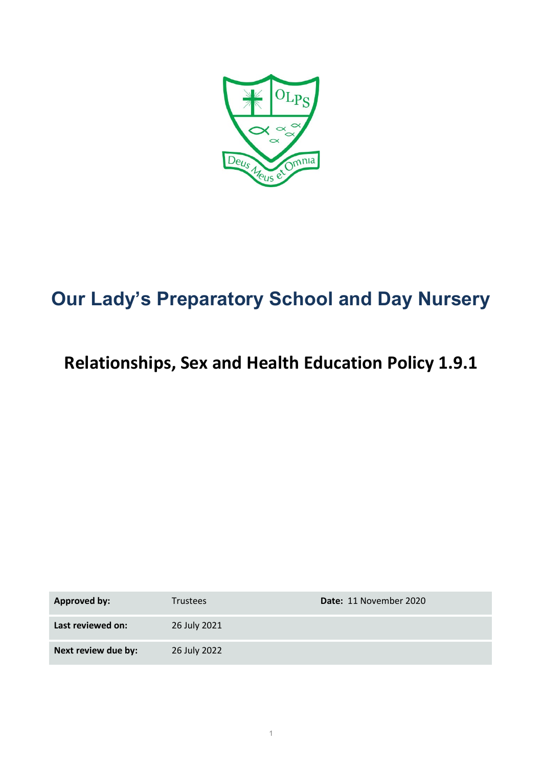

# **Our Lady's Preparatory School and Day Nursery**

# **Relationships, Sex and Health Education Policy 1.9.1**

| <b>Approved by:</b> | <b>Trustees</b> | Date: 11 November 2020 |
|---------------------|-----------------|------------------------|
| Last reviewed on:   | 26 July 2021    |                        |
| Next review due by: | 26 July 2022    |                        |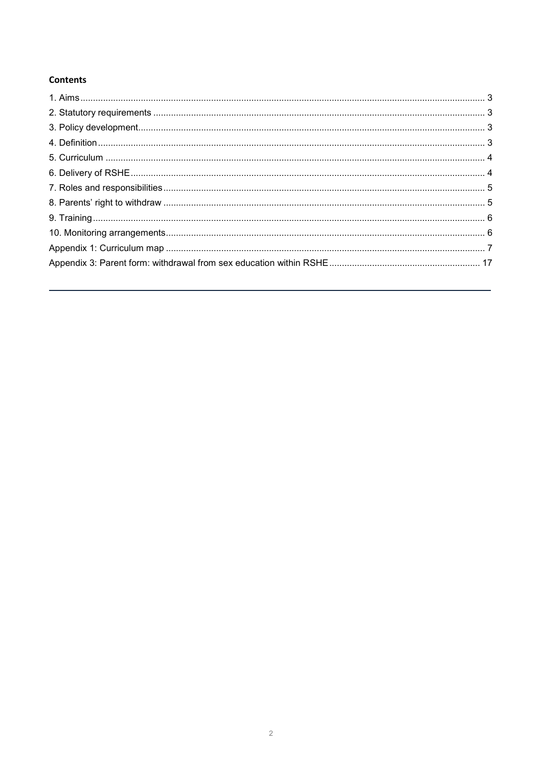#### **Contents**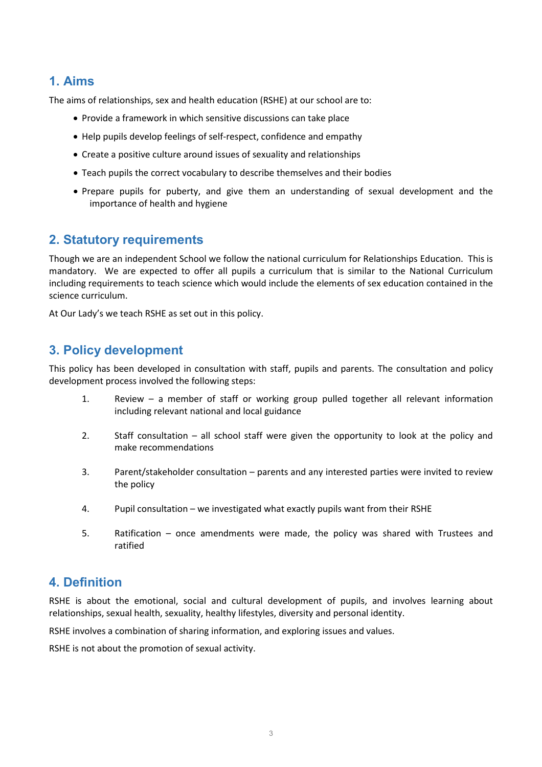### <span id="page-2-0"></span>**1. Aims**

The aims of relationships, sex and health education (RSHE) at our school are to:

- Provide a framework in which sensitive discussions can take place
- Help pupils develop feelings of self-respect, confidence and empathy
- Create a positive culture around issues of sexuality and relationships
- Teach pupils the correct vocabulary to describe themselves and their bodies
- Prepare pupils for puberty, and give them an understanding of sexual development and the importance of health and hygiene

### <span id="page-2-1"></span>**2. Statutory requirements**

Though we are an independent School we follow the national curriculum for Relationships Education. This is mandatory. We are expected to offer all pupils a curriculum that is similar to the National Curriculum including requirements to teach science which would include the elements of sex education contained in the science curriculum.

At Our Lady's we teach RSHE as set out in this policy.

### <span id="page-2-2"></span>**3. Policy development**

This policy has been developed in consultation with staff, pupils and parents. The consultation and policy development process involved the following steps:

- 1. Review a member of staff or working group pulled together all relevant information including relevant national and local guidance
- 2. Staff consultation all school staff were given the opportunity to look at the policy and make recommendations
- 3. Parent/stakeholder consultation parents and any interested parties were invited to review the policy
- 4. Pupil consultation we investigated what exactly pupils want from their RSHE
- 5. Ratification once amendments were made, the policy was shared with Trustees and ratified

#### <span id="page-2-3"></span>**4. Definition**

RSHE is about the emotional, social and cultural development of pupils, and involves learning about relationships, sexual health, sexuality, healthy lifestyles, diversity and personal identity.

RSHE involves a combination of sharing information, and exploring issues and values.

<span id="page-2-4"></span>RSHE is not about the promotion of sexual activity.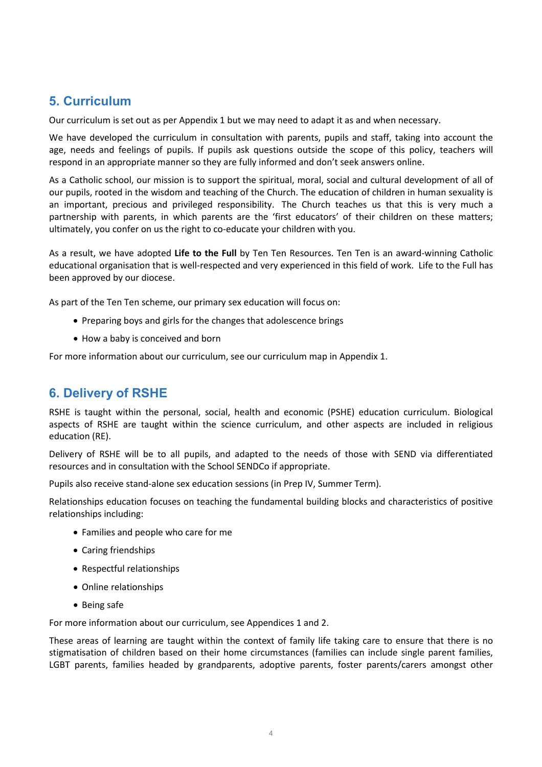### **5. Curriculum**

Our curriculum is set out as per Appendix 1 but we may need to adapt it as and when necessary.

We have developed the curriculum in consultation with parents, pupils and staff, taking into account the age, needs and feelings of pupils. If pupils ask questions outside the scope of this policy, teachers will respond in an appropriate manner so they are fully informed and don't seek answers online.

As a Catholic school, our mission is to support the spiritual, moral, social and cultural development of all of our pupils, rooted in the wisdom and teaching of the Church. The education of children in human sexuality is an important, precious and privileged responsibility. The Church teaches us that this is very much a partnership with parents, in which parents are the 'first educators' of their children on these matters; ultimately, you confer on us the right to co-educate your children with you.

As a result, we have adopted **Life to the Full** by Ten Ten Resources. Ten Ten is an award-winning Catholic educational organisation that is well-respected and very experienced in this field of work. Life to the Full has been approved by our diocese.

As part of the Ten Ten scheme, our primary sex education will focus on:

- Preparing boys and girls for the changes that adolescence brings
- How a baby is conceived and born

For more information about our curriculum, see our curriculum map in Appendix 1.

#### <span id="page-3-0"></span>**6. Delivery of RSHE**

RSHE is taught within the personal, social, health and economic (PSHE) education curriculum. Biological aspects of RSHE are taught within the science curriculum, and other aspects are included in religious education (RE).

Delivery of RSHE will be to all pupils, and adapted to the needs of those with SEND via differentiated resources and in consultation with the School SENDCo if appropriate.

Pupils also receive stand-alone sex education sessions (in Prep IV, Summer Term).

Relationships education focuses on teaching the fundamental building blocks and characteristics of positive relationships including:

- Families and people who care for me
- Caring friendships
- Respectful relationships
- Online relationships
- Being safe

For more information about our curriculum, see Appendices 1 and 2.

These areas of learning are taught within the context of family life taking care to ensure that there is no stigmatisation of children based on their home circumstances (families can include single parent families, LGBT parents, families headed by grandparents, adoptive parents, foster parents/carers amongst other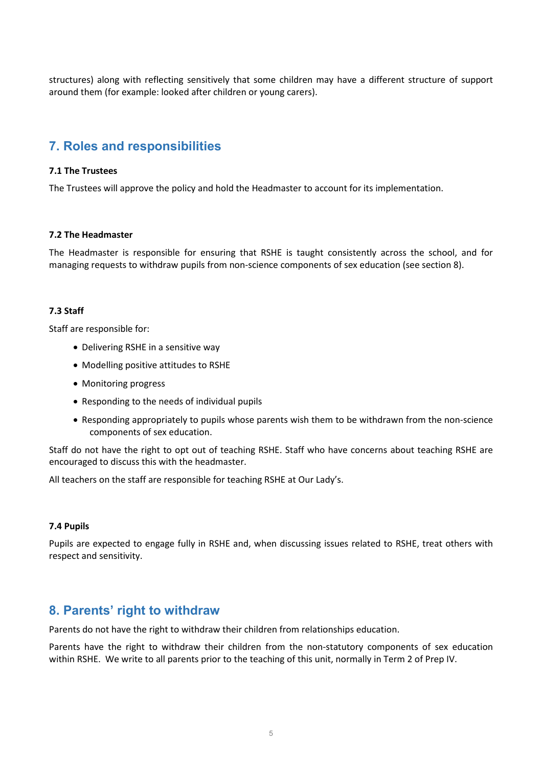structures) along with reflecting sensitively that some children may have a different structure of support around them (for example: looked after children or young carers).

### <span id="page-4-0"></span>**7. Roles and responsibilities**

#### **7.1 The Trustees**

The Trustees will approve the policy and hold the Headmaster to account for its implementation.

#### **7.2 The Headmaster**

The Headmaster is responsible for ensuring that RSHE is taught consistently across the school, and for managing requests to withdraw pupils from non-science components of sex education (see section 8).

#### **7.3 Staff**

Staff are responsible for:

- Delivering RSHE in a sensitive way
- Modelling positive attitudes to RSHE
- Monitoring progress
- Responding to the needs of individual pupils
- Responding appropriately to pupils whose parents wish them to be withdrawn from the non-science components of sex education.

Staff do not have the right to opt out of teaching RSHE. Staff who have concerns about teaching RSHE are encouraged to discuss this with the headmaster.

All teachers on the staff are responsible for teaching RSHE at Our Lady's.

#### **7.4 Pupils**

Pupils are expected to engage fully in RSHE and, when discussing issues related to RSHE, treat others with respect and sensitivity.

#### <span id="page-4-1"></span>**8. Parents' right to withdraw**

Parents do not have the right to withdraw their children from relationships education.

Parents have the right to withdraw their children from the non-statutory components of sex education within RSHE. We write to all parents prior to the teaching of this unit, normally in Term 2 of Prep IV.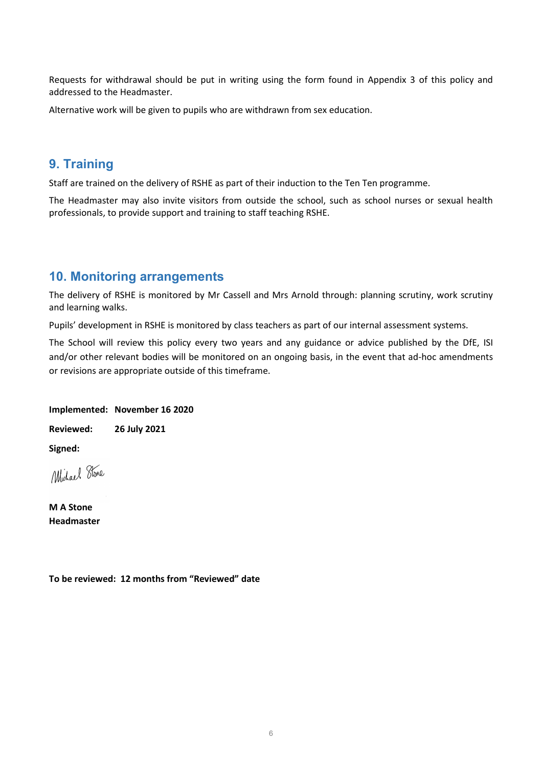Requests for withdrawal should be put in writing using the form found in Appendix 3 of this policy and addressed to the Headmaster.

Alternative work will be given to pupils who are withdrawn from sex education.

#### <span id="page-5-0"></span>**9. Training**

Staff are trained on the delivery of RSHE as part of their induction to the Ten Ten programme.

The Headmaster may also invite visitors from outside the school, such as school nurses or sexual health professionals, to provide support and training to staff teaching RSHE.

#### <span id="page-5-1"></span>**10. Monitoring arrangements**

The delivery of RSHE is monitored by Mr Cassell and Mrs Arnold through: planning scrutiny, work scrutiny and learning walks.

Pupils' development in RSHE is monitored by class teachers as part of our internal assessment systems.

The School will review this policy every two years and any guidance or advice published by the DfE, ISI and/or other relevant bodies will be monitored on an ongoing basis, in the event that ad-hoc amendments or revisions are appropriate outside of this timeframe.

#### **Implemented: November 16 2020**

**Reviewed: 26 July 2021**

**Signed:**

Michael Stone

**M A Stone Headmaster**

**To be reviewed: 12 months from "Reviewed" date**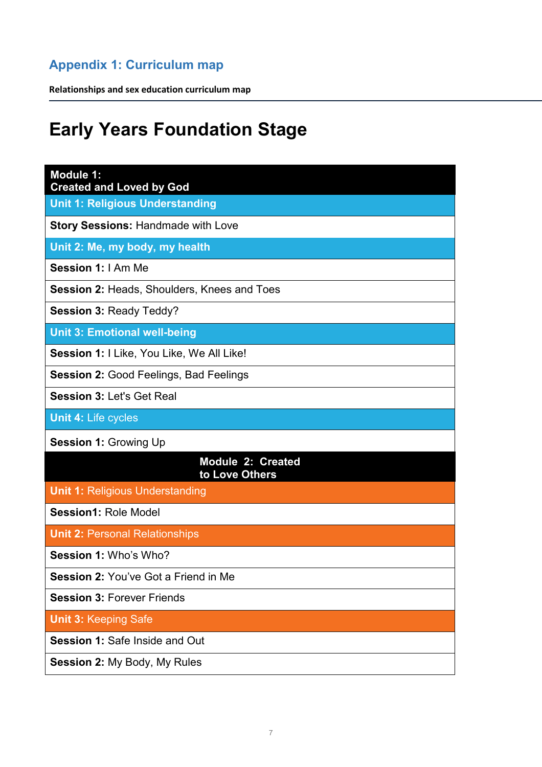## <span id="page-6-0"></span>**Appendix 1: Curriculum map**

**Relationships and sex education curriculum map**

# **Early Years Foundation Stage**

| <b>Module 1:</b><br><b>Created and Loved by God</b> |
|-----------------------------------------------------|
| Unit 1: Religious Understanding                     |
| <b>Story Sessions: Handmade with Love</b>           |
| Unit 2: Me, my body, my health                      |
| Session 1: I Am Me                                  |
| <b>Session 2: Heads, Shoulders, Knees and Toes</b>  |
| <b>Session 3: Ready Teddy?</b>                      |
| <b>Unit 3: Emotional well-being</b>                 |
| Session 1: I Like, You Like, We All Like!           |
| <b>Session 2: Good Feelings, Bad Feelings</b>       |
| <b>Session 3: Let's Get Real</b>                    |
| <b>Unit 4: Life cycles</b>                          |
| <b>Session 1: Growing Up</b>                        |
| <b>Module 2: Created</b><br>to Love Others          |
| <b>Unit 1: Religious Understanding</b>              |
| <b>Session1: Role Model</b>                         |
| <b>Unit 2: Personal Relationships</b>               |
| Session 1: Who's Who?                               |
| <b>Session 2: You've Got a Friend in Me</b>         |
| <b>Session 3: Forever Friends</b>                   |
| <b>Unit 3: Keeping Safe</b>                         |
| <b>Session 1: Safe Inside and Out</b>               |
| <b>Session 2: My Body, My Rules</b>                 |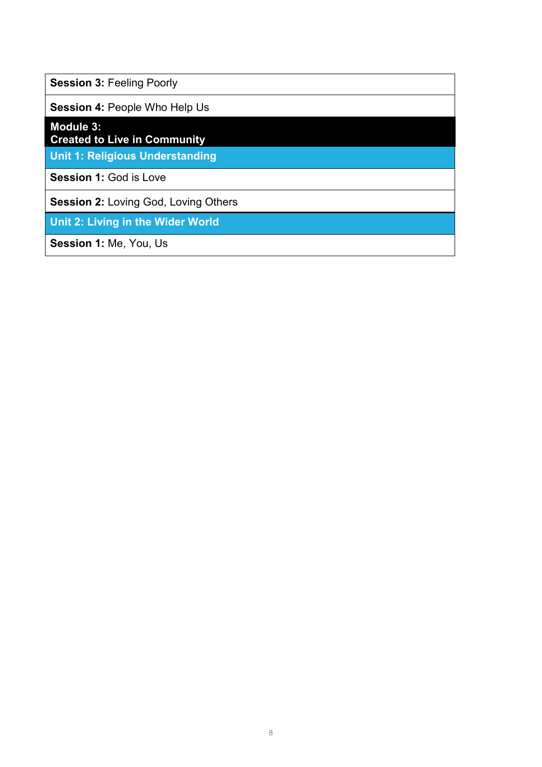**Session 3: Feeling Poorly** 

**Session 4:** People Who Help Us

**Module 3:** 

**Created to Live in Community**

**Unit 1: Religious Understanding**

**Session 1: God is Love** 

**Session 2:** Loving God, Loving Others

**Unit 2: Living in the Wider World**

**Session 1:** Me, You, Us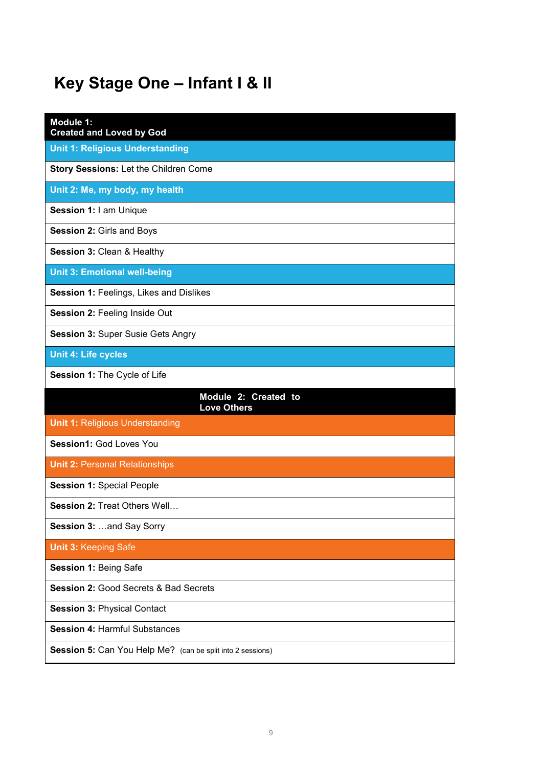# **Key Stage One – Infant I & II**

| Module 1:<br><b>Created and Loved by God</b>     |
|--------------------------------------------------|
| <b>Unit 1: Religious Understanding</b>           |
| Story Sessions: Let the Children Come            |
| Unit 2: Me, my body, my health                   |
| Session 1: I am Unique                           |
| Session 2: Girls and Boys                        |
| Session 3: Clean & Healthy                       |
| <b>Unit 3: Emotional well-being</b>              |
| Session 1: Feelings, Likes and Dislikes          |
| <b>Session 2: Feeling Inside Out</b>             |
| <b>Session 3: Super Susie Gets Angry</b>         |
| <b>Unit 4: Life cycles</b>                       |
| Session 1: The Cycle of Life                     |
|                                                  |
| Module 2: Created to<br><b>Love Others</b>       |
| <b>Unit 1: Religious Understanding</b>           |
| Session1: God Loves You                          |
| <b>Unit 2: Personal Relationships</b>            |
| <b>Session 1: Special People</b>                 |
| <b>Session 2: Treat Others Well</b>              |
| Session 3:  and Say Sorry                        |
| <b>Unit 3: Keeping Safe</b>                      |
| Session 1: Being Safe                            |
| <b>Session 2: Good Secrets &amp; Bad Secrets</b> |
| <b>Session 3: Physical Contact</b>               |
| <b>Session 4: Harmful Substances</b>             |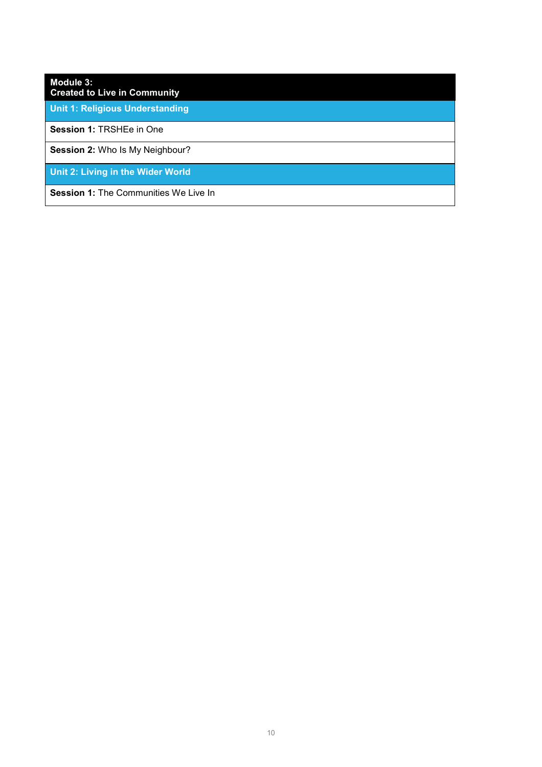### **Module 3:**

**Created to Live in Community**

**Unit 1: Religious Understanding**

**Session 1:** TRSHEe in One

**Session 2:** Who Is My Neighbour?

**Unit 2: Living in the Wider World**

**Session 1:** The Communities We Live In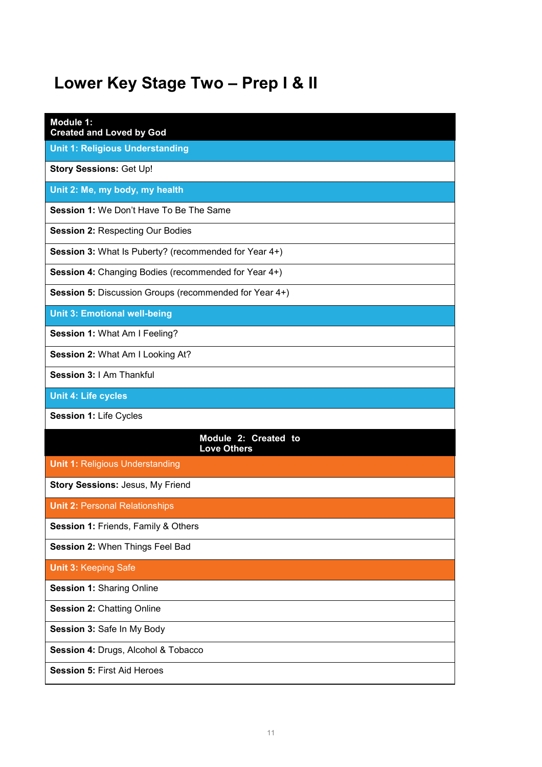# **Lower Key Stage Two – Prep I & II**

| Module 1:<br><b>Created and Loved by God</b>           |
|--------------------------------------------------------|
| <b>Unit 1: Religious Understanding</b>                 |
| <b>Story Sessions: Get Up!</b>                         |
| Unit 2: Me, my body, my health                         |
| Session 1: We Don't Have To Be The Same                |
| <b>Session 2: Respecting Our Bodies</b>                |
| Session 3: What Is Puberty? (recommended for Year 4+)  |
| Session 4: Changing Bodies (recommended for Year 4+)   |
| Session 5: Discussion Groups (recommended for Year 4+) |
| <b>Unit 3: Emotional well-being</b>                    |
| Session 1: What Am I Feeling?                          |
| Session 2: What Am I Looking At?                       |
| Session 3: I Am Thankful                               |
| <b>Unit 4: Life cycles</b>                             |
| Session 1: Life Cycles                                 |
| Module 2: Created to<br><b>Love Others</b>             |
| <b>Unit 1: Religious Understanding</b>                 |
| <b>Story Sessions: Jesus, My Friend</b>                |
| <b>Unit 2: Personal Relationships</b>                  |
| Session 1: Friends, Family & Others                    |
| Session 2: When Things Feel Bad                        |
| <b>Unit 3: Keeping Safe</b>                            |
| <b>Session 1: Sharing Online</b>                       |
| <b>Session 2: Chatting Online</b>                      |
| Session 3: Safe In My Body                             |
| Session 4: Drugs, Alcohol & Tobacco                    |
| <b>Session 5: First Aid Heroes</b>                     |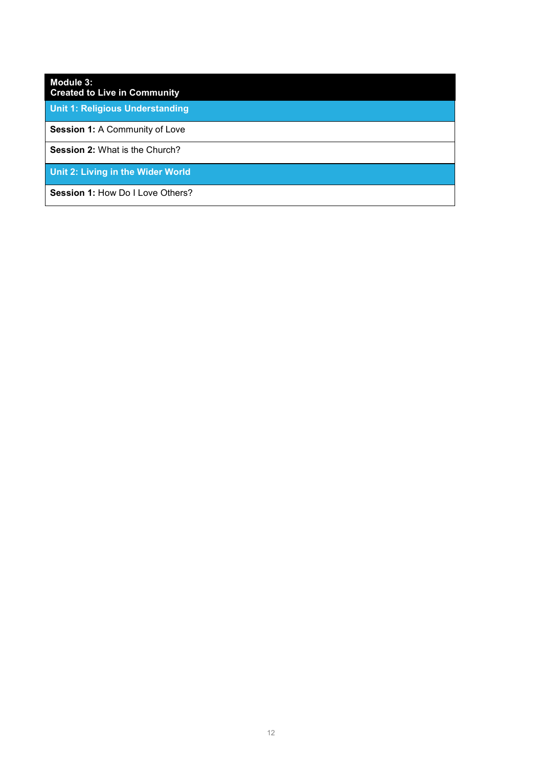## **Module 3: Created to Live in Community Unit 1: Religious Understanding Session 1:** A Community of Love **Session 2:** What is the Church? **Unit 2: Living in the Wider World** Session 1: How Do I Love Others?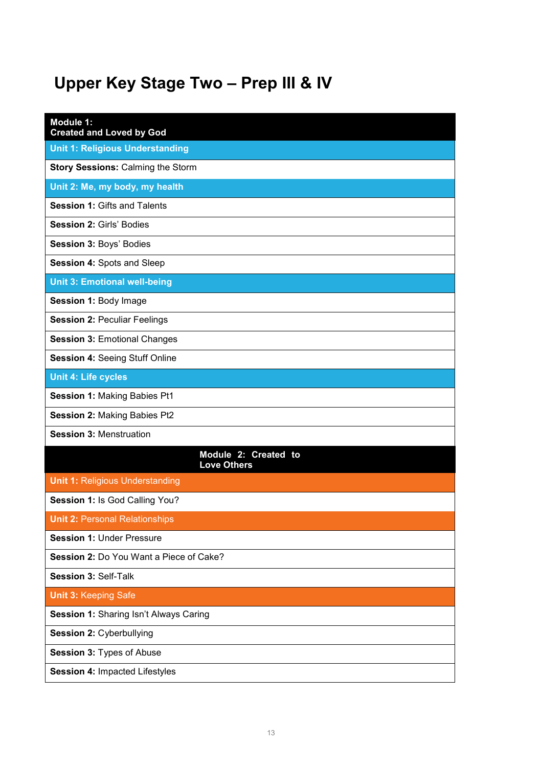# **Upper Key Stage Two – Prep III & IV**

| Module 1:<br><b>Created and Loved by God</b> |
|----------------------------------------------|
| <b>Unit 1: Religious Understanding</b>       |
| <b>Story Sessions: Calming the Storm</b>     |
| Unit 2: Me, my body, my health               |
| <b>Session 1: Gifts and Talents</b>          |
| <b>Session 2: Girls' Bodies</b>              |
| Session 3: Boys' Bodies                      |
| <b>Session 4: Spots and Sleep</b>            |
| <b>Unit 3: Emotional well-being</b>          |
| Session 1: Body Image                        |
| <b>Session 2: Peculiar Feelings</b>          |
| <b>Session 3: Emotional Changes</b>          |
| <b>Session 4: Seeing Stuff Online</b>        |
| <b>Unit 4: Life cycles</b>                   |
| <b>Session 1: Making Babies Pt1</b>          |
| <b>Session 2: Making Babies Pt2</b>          |
| <b>Session 3: Menstruation</b>               |
| Module 2: Created to<br><b>Love Others</b>   |
| <b>Unit 1: Religious Understanding</b>       |
| Session 1: Is God Calling You?               |
| <b>Unit 2: Personal Relationships</b>        |
| <b>Session 1: Under Pressure</b>             |
| Session 2: Do You Want a Piece of Cake?      |
| Session 3: Self-Talk                         |
| <b>Unit 3: Keeping Safe</b>                  |
| Session 1: Sharing Isn't Always Caring       |
| Session 2: Cyberbullying                     |
| Session 3: Types of Abuse                    |
| Session 4: Impacted Lifestyles               |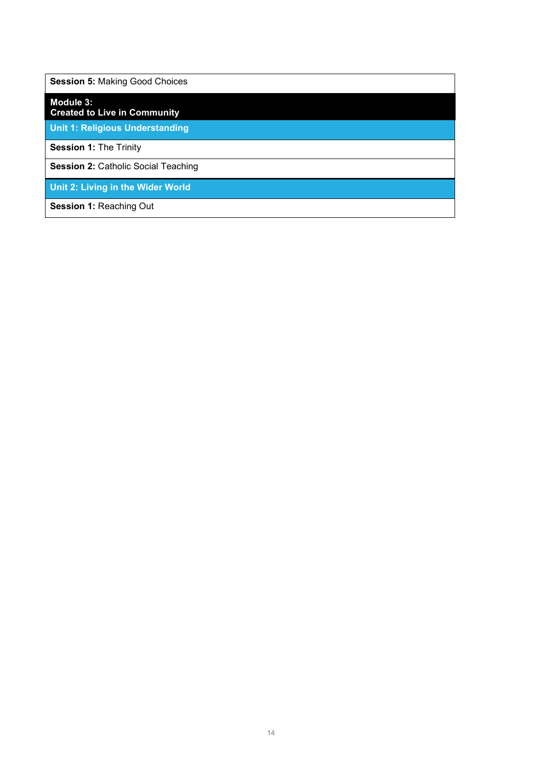**Session 5:** Making Good Choices

**Module 3:** 

**Created to Live in Community**

**Unit 1: Religious Understanding**

**Session 1:** The Trinity

**Session 2: Catholic Social Teaching** 

**Unit 2: Living in the Wider World**

**Session 1: Reaching Out**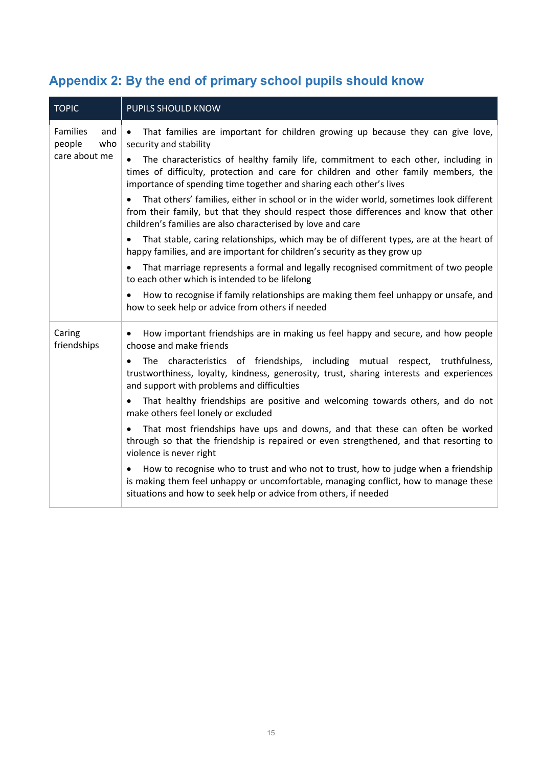## **Appendix 2: By the end of primary school pupils should know**

| <b>TOPIC</b>                                             | PUPILS SHOULD KNOW                                                                                                                                                                                                                                            |
|----------------------------------------------------------|---------------------------------------------------------------------------------------------------------------------------------------------------------------------------------------------------------------------------------------------------------------|
| <b>Families</b><br>and<br>who<br>people<br>care about me | That families are important for children growing up because they can give love,<br>$\bullet$<br>security and stability                                                                                                                                        |
|                                                          | The characteristics of healthy family life, commitment to each other, including in<br>$\bullet$<br>times of difficulty, protection and care for children and other family members, the<br>importance of spending time together and sharing each other's lives |
|                                                          | That others' families, either in school or in the wider world, sometimes look different<br>$\bullet$<br>from their family, but that they should respect those differences and know that other<br>children's families are also characterised by love and care  |
|                                                          | That stable, caring relationships, which may be of different types, are at the heart of<br>٠<br>happy families, and are important for children's security as they grow up                                                                                     |
|                                                          | That marriage represents a formal and legally recognised commitment of two people<br>$\bullet$<br>to each other which is intended to be lifelong                                                                                                              |
|                                                          | How to recognise if family relationships are making them feel unhappy or unsafe, and<br>$\bullet$<br>how to seek help or advice from others if needed                                                                                                         |
| Caring<br>friendships                                    | How important friendships are in making us feel happy and secure, and how people<br>٠<br>choose and make friends                                                                                                                                              |
|                                                          | The characteristics of friendships, including mutual respect, truthfulness,<br>$\bullet$<br>trustworthiness, loyalty, kindness, generosity, trust, sharing interests and experiences<br>and support with problems and difficulties                            |
|                                                          | That healthy friendships are positive and welcoming towards others, and do not<br>$\bullet$<br>make others feel lonely or excluded                                                                                                                            |
|                                                          | That most friendships have ups and downs, and that these can often be worked<br>$\bullet$<br>through so that the friendship is repaired or even strengthened, and that resorting to<br>violence is never right                                                |
|                                                          | How to recognise who to trust and who not to trust, how to judge when a friendship<br>is making them feel unhappy or uncomfortable, managing conflict, how to manage these<br>situations and how to seek help or advice from others, if needed                |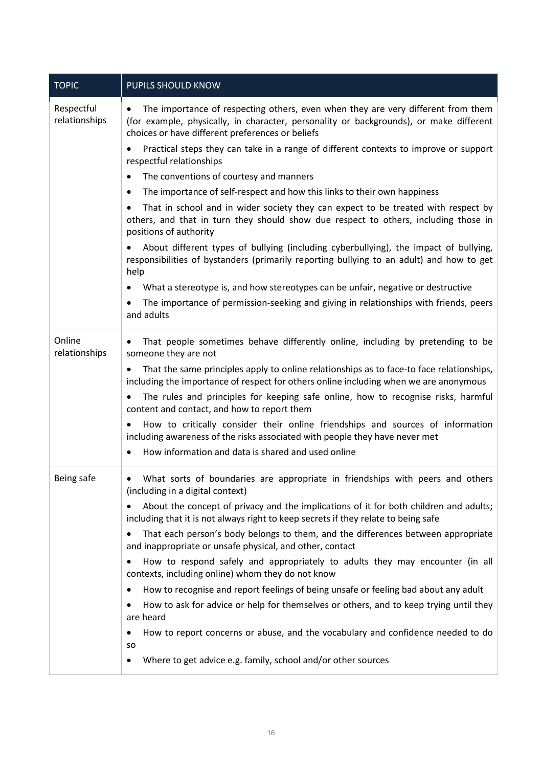| <b>TOPIC</b>                | <b>PUPILS SHOULD KNOW</b>                                                                                                                                                                                                      |
|-----------------------------|--------------------------------------------------------------------------------------------------------------------------------------------------------------------------------------------------------------------------------|
| Respectful<br>relationships | The importance of respecting others, even when they are very different from them<br>(for example, physically, in character, personality or backgrounds), or make different<br>choices or have different preferences or beliefs |
|                             | Practical steps they can take in a range of different contexts to improve or support<br>respectful relationships                                                                                                               |
|                             | The conventions of courtesy and manners<br>٠                                                                                                                                                                                   |
|                             | The importance of self-respect and how this links to their own happiness<br>$\bullet$                                                                                                                                          |
|                             | That in school and in wider society they can expect to be treated with respect by<br>others, and that in turn they should show due respect to others, including those in<br>positions of authority                             |
|                             | About different types of bullying (including cyberbullying), the impact of bullying,<br>responsibilities of bystanders (primarily reporting bullying to an adult) and how to get<br>help                                       |
|                             | What a stereotype is, and how stereotypes can be unfair, negative or destructive                                                                                                                                               |
|                             | The importance of permission-seeking and giving in relationships with friends, peers<br>and adults                                                                                                                             |
| Online<br>relationships     | That people sometimes behave differently online, including by pretending to be<br>٠<br>someone they are not                                                                                                                    |
|                             | That the same principles apply to online relationships as to face-to face relationships,<br>$\bullet$<br>including the importance of respect for others online including when we are anonymous                                 |
|                             | The rules and principles for keeping safe online, how to recognise risks, harmful<br>$\bullet$<br>content and contact, and how to report them                                                                                  |
|                             | How to critically consider their online friendships and sources of information<br>including awareness of the risks associated with people they have never met                                                                  |
|                             | How information and data is shared and used online<br>$\bullet$                                                                                                                                                                |
| Being safe                  | What sorts of boundaries are appropriate in friendships with peers and others<br>$\bullet$<br>(including in a digital context)                                                                                                 |
|                             | About the concept of privacy and the implications of it for both children and adults;<br>including that it is not always right to keep secrets if they relate to being safe                                                    |
|                             | That each person's body belongs to them, and the differences between appropriate<br>٠<br>and inappropriate or unsafe physical, and other, contact                                                                              |
|                             | How to respond safely and appropriately to adults they may encounter (in all<br>contexts, including online) whom they do not know                                                                                              |
|                             | How to recognise and report feelings of being unsafe or feeling bad about any adult<br>٠                                                                                                                                       |
|                             | How to ask for advice or help for themselves or others, and to keep trying until they<br>are heard                                                                                                                             |
|                             | How to report concerns or abuse, and the vocabulary and confidence needed to do<br>so                                                                                                                                          |
|                             | Where to get advice e.g. family, school and/or other sources                                                                                                                                                                   |